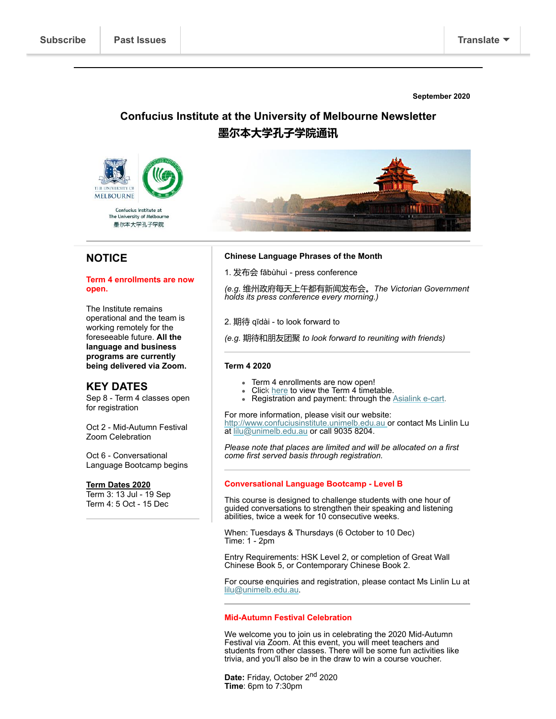**September 2020**

# **Confucius Institute at the University of Melbourne Newsletter 墨尔本大学孔子学院通讯**



## **NOTICE**

#### **Term 4 enrollments are now open.**

The Institute remains operational and the team is working remotely for the foreseeable future. **All the language and business programs are currently being delivered via Zoom.**

### **KEY DATES**

Sep 8 - Term 4 classes open for registration

Oct 2 - Mid-Autumn Festival Zoom Celebration

Oct 6 - Conversational Language Bootcamp begins

#### **Term Dates 2020**

Term 3: 13 Jul - 19 Sep Term 4: 5 Oct - 15 Dec

#### **Chinese Language Phrases of the Month**

1. 发布会 fābùhuì - press conference

*(e.g.* 维州政府每天上午都有新闻发布会。*The Victorian Government holds its press conference every morning.)*

2. 期待 qīdài - to look forward to

*(e.g.* 期待和朋友团聚 *to look forward to reuniting with friends)*

#### **Term 4 2020**

- Term 4 enrollments are now open!
- Click [here](http://www.confuciusinstitute.unimelb.edu.au/sites/ci-files-public/ci-files-public/2020%20Timetable%20Term%204%20-%20EX.pdf?mc_cid=5721ee8131&mc_eid=%5bUNIQID%5d) to view the Term 4 timetable.
- Registration and payment: through the [Asialink e-cart.](http://ecommerce.asialink.unimelb.edu.au/categories.asp?cID=10&mc_cid=5721ee8131&mc_eid=%5bUNIQID%5d)

For more information, please visit our website: [http://www.confuciusinstitute.unimelb.edu.au o](http://www.confuciusinstitute.unimelb.edu.au%20/)r contact Ms Linlin Lu at [lilu@unimelb.edu.au](mailto:lilu@unimelb.edu.au) or call 9035 8204.

*Please note that places are limited and will be allocated on a first come first served basis through registration.*

#### **Conversational Language Bootcamp - Level B**

This course is designed to challenge students with one hour of guided conversations to strengthen their speaking and listening abilities, twice a week for 10 consecutive weeks.

When: Tuesdays & Thursdays (6 October to 10 Dec) Time: 1 - 2pm

Entry Requirements: HSK Level 2, or completion of Great Wall Chinese Book 5, or Contemporary Chinese Book 2.

For course enquiries and registration, please contact Ms Linlin Lu at [lilu@unimelb.edu.au.](http://lilu@unimelb.edu.au/)

#### **Mid-Autumn Festival Celebration**

We welcome you to join us in celebrating the 2020 Mid-Autumn Festival via Zoom. At this event, you will meet teachers and students from other classes. There will be some fun activities like trivia, and you'll also be in the draw to win a course voucher.

Date: Friday, October 2<sup>nd</sup> 2020 **Time**: 6pm to 7:30pm